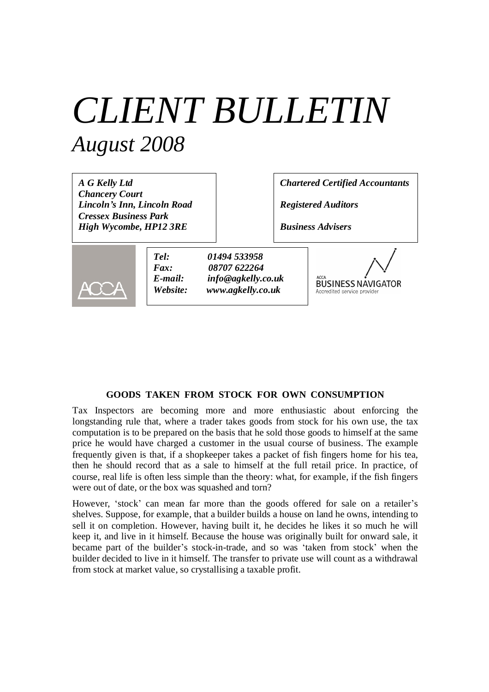# *CLIENT BULLETIN August 2008*

| A G Kelly Ltd<br><b>Chancery Court</b><br>Lincoln's Inn, Lincoln Road |                                                                |                                                                         | <b>Chartered Certified Accountants</b> |                                                                         |
|-----------------------------------------------------------------------|----------------------------------------------------------------|-------------------------------------------------------------------------|----------------------------------------|-------------------------------------------------------------------------|
| <b>Cressex Business Park</b><br>High Wycombe, HP12 3RE                |                                                                | <b>Registered Auditors</b><br><b>Business Advisers</b>                  |                                        |                                                                         |
|                                                                       | Tel:<br>$\boldsymbol{F}$ <i>ax</i> :<br>$E$ -mail:<br>Website: | 01494 533958<br>08707 622264<br>info@agkelly.co.uk<br>www.agkelly.co.uk |                                        | <b>ACCA</b><br><b>BUSINESS NAVIGATOR</b><br>Accredited service provider |

# **GOODS TAKEN FROM STOCK FOR OWN CONSUMPTION**

Tax Inspectors are becoming more and more enthusiastic about enforcing the longstanding rule that, where a trader takes goods from stock for his own use, the tax computation is to be prepared on the basis that he sold those goods to himself at the same price he would have charged a customer in the usual course of business. The example frequently given is that, if a shopkeeper takes a packet of fish fingers home for his tea, then he should record that as a sale to himself at the full retail price. In practice, of course, real life is often less simple than the theory: what, for example, if the fish fingers were out of date, or the box was squashed and torn?

However, 'stock' can mean far more than the goods offered for sale on a retailer's shelves. Suppose, for example, that a builder builds a house on land he owns, intending to sell it on completion. However, having built it, he decides he likes it so much he will keep it, and live in it himself. Because the house was originally built for onward sale, it became part of the builder's stock-in-trade, and so was 'taken from stock' when the builder decided to live in it himself. The transfer to private use will count as a withdrawal from stock at market value, so crystallising a taxable profit.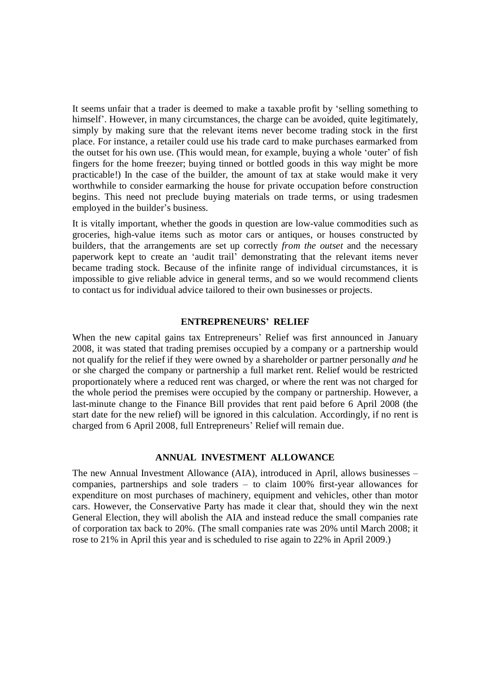It seems unfair that a trader is deemed to make a taxable profit by 'selling something to himself'. However, in many circumstances, the charge can be avoided, quite legitimately, simply by making sure that the relevant items never become trading stock in the first place. For instance, a retailer could use his trade card to make purchases earmarked from the outset for his own use. (This would mean, for example, buying a whole 'outer' of fish fingers for the home freezer; buying tinned or bottled goods in this way might be more practicable!) In the case of the builder, the amount of tax at stake would make it very worthwhile to consider earmarking the house for private occupation before construction begins. This need not preclude buying materials on trade terms, or using tradesmen employed in the builder's business.

It is vitally important, whether the goods in question are low-value commodities such as groceries, high-value items such as motor cars or antiques, or houses constructed by builders, that the arrangements are set up correctly *from the outset* and the necessary paperwork kept to create an 'audit trail' demonstrating that the relevant items never became trading stock. Because of the infinite range of individual circumstances, it is impossible to give reliable advice in general terms, and so we would recommend clients to contact us for individual advice tailored to their own businesses or projects.

#### **ENTREPRENEURS' RELIEF**

When the new capital gains tax Entrepreneurs' Relief was first announced in January 2008, it was stated that trading premises occupied by a company or a partnership would not qualify for the relief if they were owned by a shareholder or partner personally *and* he or she charged the company or partnership a full market rent. Relief would be restricted proportionately where a reduced rent was charged, or where the rent was not charged for the whole period the premises were occupied by the company or partnership. However, a last-minute change to the Finance Bill provides that rent paid before 6 April 2008 (the start date for the new relief) will be ignored in this calculation. Accordingly, if no rent is charged from 6 April 2008, full Entrepreneurs' Relief will remain due.

# **ANNUAL INVESTMENT ALLOWANCE**

The new Annual Investment Allowance (AIA), introduced in April, allows businesses – companies, partnerships and sole traders – to claim 100% first-year allowances for expenditure on most purchases of machinery, equipment and vehicles, other than motor cars. However, the Conservative Party has made it clear that, should they win the next General Election, they will abolish the AIA and instead reduce the small companies rate of corporation tax back to 20%. (The small companies rate was 20% until March 2008; it rose to 21% in April this year and is scheduled to rise again to 22% in April 2009.)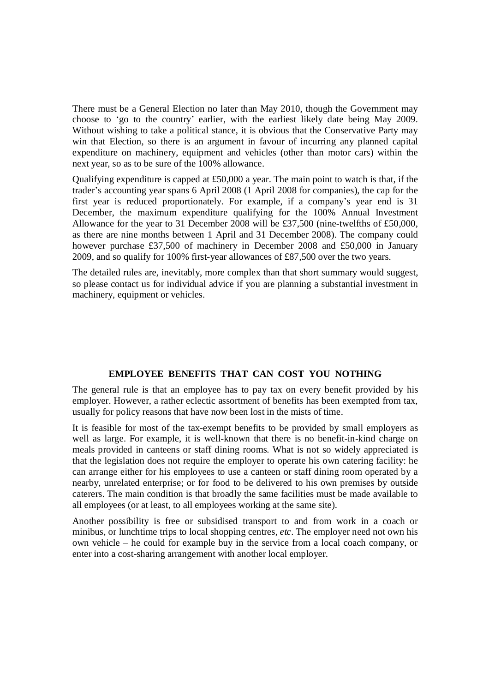There must be a General Election no later than May 2010, though the Government may choose to 'go to the country' earlier, with the earliest likely date being May 2009. Without wishing to take a political stance, it is obvious that the Conservative Party may win that Election, so there is an argument in favour of incurring any planned capital expenditure on machinery, equipment and vehicles (other than motor cars) within the next year, so as to be sure of the 100% allowance.

Qualifying expenditure is capped at  $£50,000$  a year. The main point to watch is that, if the trader's accounting year spans 6 April 2008 (1 April 2008 for companies), the cap for the first year is reduced proportionately. For example, if a company's year end is 31 December, the maximum expenditure qualifying for the 100% Annual Investment Allowance for the year to 31 December 2008 will be £37,500 (nine-twelfths of £50,000, as there are nine months between 1 April and 31 December 2008). The company could however purchase £37,500 of machinery in December 2008 and £50,000 in January 2009, and so qualify for 100% first-year allowances of £87,500 over the two years.

The detailed rules are, inevitably, more complex than that short summary would suggest, so please contact us for individual advice if you are planning a substantial investment in machinery, equipment or vehicles.

# **EMPLOYEE BENEFITS THAT CAN COST YOU NOTHING**

The general rule is that an employee has to pay tax on every benefit provided by his employer. However, a rather eclectic assortment of benefits has been exempted from tax, usually for policy reasons that have now been lost in the mists of time.

It is feasible for most of the tax-exempt benefits to be provided by small employers as well as large. For example, it is well-known that there is no benefit-in-kind charge on meals provided in canteens or staff dining rooms. What is not so widely appreciated is that the legislation does not require the employer to operate his own catering facility: he can arrange either for his employees to use a canteen or staff dining room operated by a nearby, unrelated enterprise; or for food to be delivered to his own premises by outside caterers. The main condition is that broadly the same facilities must be made available to all employees (or at least, to all employees working at the same site).

Another possibility is free or subsidised transport to and from work in a coach or minibus, or lunchtime trips to local shopping centres, *etc*. The employer need not own his own vehicle – he could for example buy in the service from a local coach company, or enter into a cost-sharing arrangement with another local employer.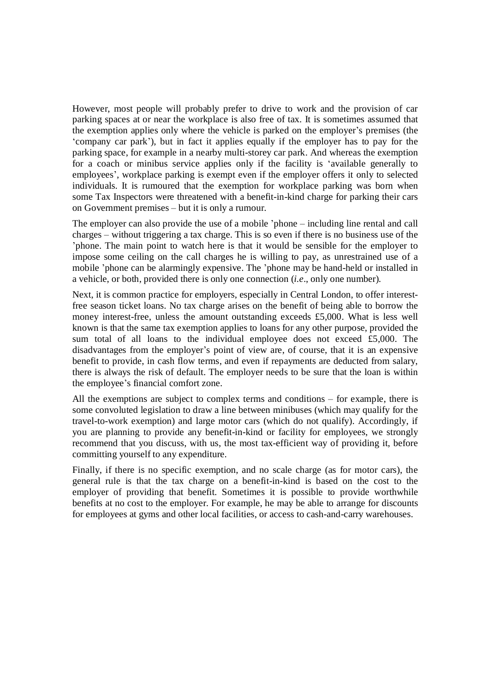However, most people will probably prefer to drive to work and the provision of car parking spaces at or near the workplace is also free of tax. It is sometimes assumed that the exemption applies only where the vehicle is parked on the employer's premises (the 'company car park'), but in fact it applies equally if the employer has to pay for the parking space, for example in a nearby multi-storey car park. And whereas the exemption for a coach or minibus service applies only if the facility is 'available generally to employees', workplace parking is exempt even if the employer offers it only to selected individuals. It is rumoured that the exemption for workplace parking was born when some Tax Inspectors were threatened with a benefit-in-kind charge for parking their cars on Government premises – but it is only a rumour.

The employer can also provide the use of a mobile 'phone – including line rental and call charges – without triggering a tax charge. This is so even if there is no business use of the 'phone. The main point to watch here is that it would be sensible for the employer to impose some ceiling on the call charges he is willing to pay, as unrestrained use of a mobile 'phone can be alarmingly expensive. The 'phone may be hand-held or installed in a vehicle, or both, provided there is only one connection (*i.e*., only one number).

Next, it is common practice for employers, especially in Central London, to offer interestfree season ticket loans. No tax charge arises on the benefit of being able to borrow the money interest-free, unless the amount outstanding exceeds £5,000. What is less well known is that the same tax exemption applies to loans for any other purpose, provided the sum total of all loans to the individual employee does not exceed £5,000. The disadvantages from the employer's point of view are, of course, that it is an expensive benefit to provide, in cash flow terms, and even if repayments are deducted from salary, there is always the risk of default. The employer needs to be sure that the loan is within the employee's financial comfort zone.

All the exemptions are subject to complex terms and conditions – for example, there is some convoluted legislation to draw a line between minibuses (which may qualify for the travel-to-work exemption) and large motor cars (which do not qualify). Accordingly, if you are planning to provide any benefit-in-kind or facility for employees, we strongly recommend that you discuss, with us, the most tax-efficient way of providing it, before committing yourself to any expenditure.

Finally, if there is no specific exemption, and no scale charge (as for motor cars), the general rule is that the tax charge on a benefit-in-kind is based on the cost to the employer of providing that benefit. Sometimes it is possible to provide worthwhile benefits at no cost to the employer. For example, he may be able to arrange for discounts for employees at gyms and other local facilities, or access to cash-and-carry warehouses.